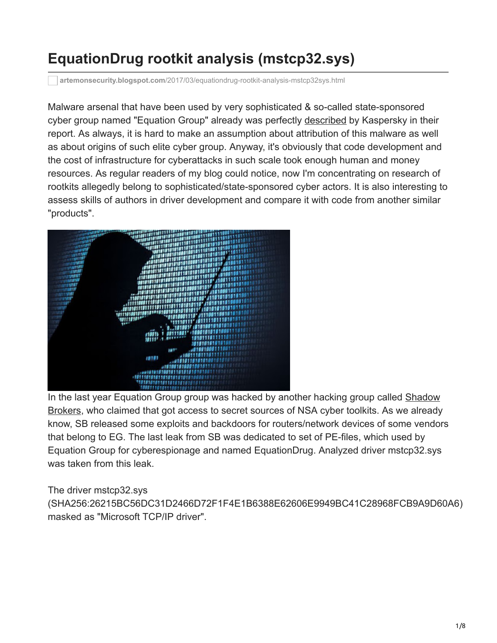# **EquationDrug rootkit analysis (mstcp32.sys)**

**artemonsecurity.blogspot.com**[/2017/03/equationdrug-rootkit-analysis-mstcp32sys.html](http://artemonsecurity.blogspot.com/2017/03/equationdrug-rootkit-analysis-mstcp32sys.html)

Malware arsenal that have been used by very sophisticated & so-called state-sponsored cyber group named "Equation Group" already was perfectly [described](https://securelist.com/files/2015/02/Equation_group_questions_and_answers.pdf) by Kaspersky in their report. As always, it is hard to make an assumption about attribution of this malware as well as about origins of such elite cyber group. Anyway, it's obviously that code development and the cost of infrastructure for cyberattacks in such scale took enough human and money resources. As regular readers of my blog could notice, now I'm concentrating on research of rootkits allegedly belong to sophisticated/state-sponsored cyber actors. It is also interesting to assess skills of authors in driver development and compare it with code from another similar "products".



[In the last year Equation Group group was hacked by another hacking group called Shadow](https://en.wikipedia.org/wiki/The_Shadow_Brokers) Brokers, who claimed that got access to secret sources of NSA cyber toolkits. As we already know, SB released some exploits and backdoors for routers/network devices of some vendors that belong to EG. The last leak from SB was dedicated to set of PE-files, which used by Equation Group for cyberespionage and named EquationDrug. Analyzed driver mstcp32.sys was taken from this leak.

The driver mstcp32.sys

(SHA256:26215BC56DC31D2466D72F1F4E1B6388E62606E9949BC41C28968FCB9A9D60A6) masked as "Microsoft TCP/IP driver".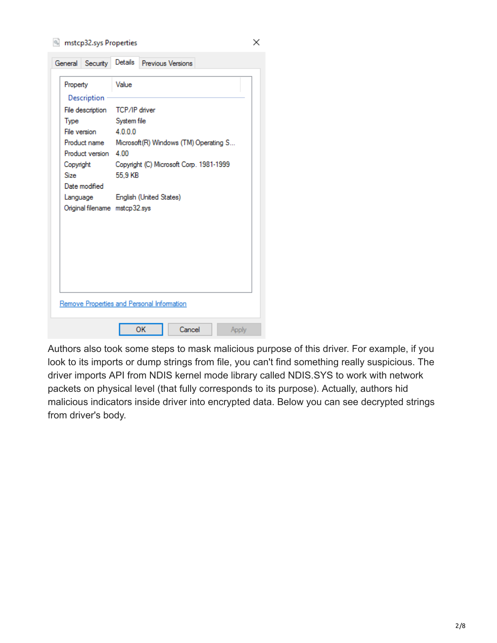### mstcp32.sys Properties

|             | General Security                          | Details                                            | <b>Previous Versions</b>                   |  |  |  |  |  |  |
|-------------|-------------------------------------------|----------------------------------------------------|--------------------------------------------|--|--|--|--|--|--|
| Property    | Description                               | Value                                              |                                            |  |  |  |  |  |  |
|             | File description                          | TCP/IP driver                                      |                                            |  |  |  |  |  |  |
| Type        | File version                              | 4000                                               | System file                                |  |  |  |  |  |  |
|             | Product name<br>Product version 4.00      | Microsoft (R) Windows (TM) Operating S             |                                            |  |  |  |  |  |  |
| <b>Size</b> | Copyright<br>Date modified                | Copyright (C) Microsoft Corp. 1981-1999<br>55.9 KB |                                            |  |  |  |  |  |  |
|             | Language<br>Original filename mstcp32.sys |                                                    | English (United States)                    |  |  |  |  |  |  |
|             |                                           |                                                    |                                            |  |  |  |  |  |  |
|             |                                           |                                                    | Remove Properties and Personal Information |  |  |  |  |  |  |
|             |                                           |                                                    | ОΚ<br>Cancel<br>Apply                      |  |  |  |  |  |  |

Authors also took some steps to mask malicious purpose of this driver. For example, if you look to its imports or dump strings from file, you can't find something really suspicious. The driver imports API from NDIS kernel mode library called NDIS.SYS to work with network packets on physical level (that fully corresponds to its purpose). Actually, authors hid malicious indicators inside driver into encrypted data. Below you can see decrypted strings from driver's body.

×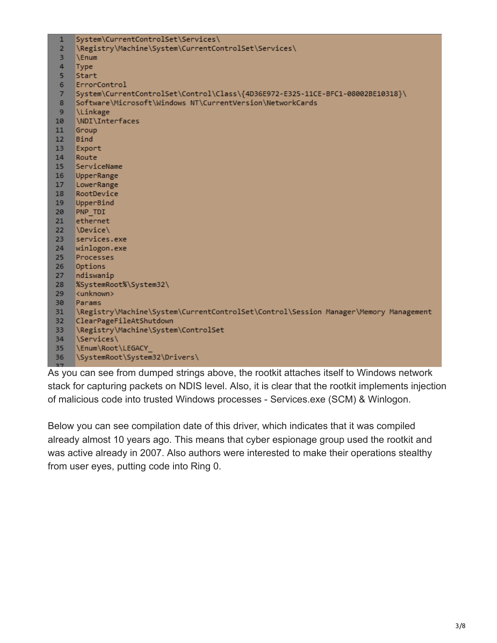| $\mathbf{1}$   | System\CurrentControlSet\Services\                                                   |
|----------------|--------------------------------------------------------------------------------------|
| $\overline{2}$ | \Registry\Machine\System\CurrentControlSet\Services\                                 |
| 3              | <b>NEnum</b>                                                                         |
| 4              | Type                                                                                 |
| 5              | Start                                                                                |
| 6              | ErrorControl                                                                         |
| $\overline{7}$ | System\CurrentControlSet\Control\Class\{4D36E972-E325-11CE-BFC1-08002BE10318}\       |
| 8              | Software\Microsoft\Windows NT\CurrentVersion\NetworkCards                            |
| 9              | <b>\Linkage</b>                                                                      |
| 10             | \NDI\Interfaces                                                                      |
| 11             | Group                                                                                |
| 12             | <b>Bind</b>                                                                          |
| 13             | Export                                                                               |
| 14             | Route                                                                                |
| 15             | ServiceName                                                                          |
| 16             | UpperRange                                                                           |
| 17             | LowerRange                                                                           |
| 18             | RootDevice                                                                           |
| 19             | UpperBind                                                                            |
| 20             | PNP TDI                                                                              |
| 21             | ethernet                                                                             |
| 22             | <i><b>Device</b></i>                                                                 |
| 23             | services.exe                                                                         |
| 24             | winlogon.exe                                                                         |
| 25             | Processes                                                                            |
| 26             | Options                                                                              |
| 27             | ndiswanip                                                                            |
| 28             | %SystemRoot%\System32\                                                               |
| 29             | <unknown></unknown>                                                                  |
| 30             | Params                                                                               |
| 31             | \Registry\Machine\System\CurrentControlSet\Control\Session Manager\Memory Management |
| 32             | ClearPageFileAtShutdown                                                              |
| 33             | \Registry\Machine\System\ControlSet                                                  |
| 34             | \Services\                                                                           |
| 35             | \Enum\Root\LEGACY                                                                    |
| 36             | \SystemRoot\System32\Drivers\                                                        |
| 37             |                                                                                      |

As you can see from dumped strings above, the rootkit attaches itself to Windows network stack for capturing packets on NDIS level. Also, it is clear that the rootkit implements injection of malicious code into trusted Windows processes - Services.exe (SCM) & Winlogon.

Below you can see compilation date of this driver, which indicates that it was compiled already almost 10 years ago. This means that cyber espionage group used the rootkit and was active already in 2007. Also authors were interested to make their operations stealthy from user eyes, putting code into Ring 0.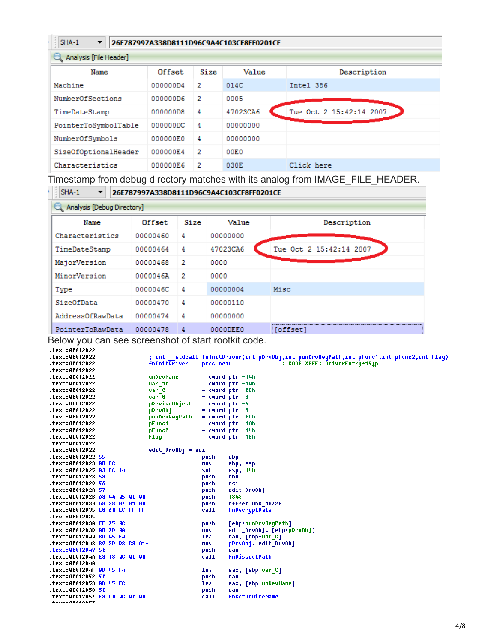## $SHA-1$

#### $\overline{\phantom{a}}$ 26E787997A338D8111D96C9A4C103CF8FF0201CE

| Analysis [File Header] |          |      |          |                         |  |  |  |
|------------------------|----------|------|----------|-------------------------|--|--|--|
| Name                   | Offset   | Size | Value    | Description             |  |  |  |
| Machine                | 000000D4 | 2    | 014C     | Intel 386               |  |  |  |
| NumberOfSections       | 000000D6 | -2   | 0005     |                         |  |  |  |
| TimeDateStamp          | 000000D8 | 4    | 47023CA6 | Tue Oct 2 15:42:14 2007 |  |  |  |
| PointerToSymbolTable   | 000000DC | 4    | 00000000 |                         |  |  |  |
| NumberOfSymbols        | 000000E0 | 4    | 00000000 |                         |  |  |  |
| SizeOfOptionalHeader   | 000000E4 | 2    | 00EO     |                         |  |  |  |
| Characteristics        | 000000E6 | 2    | 030E     | Click here              |  |  |  |

Timestamp from debug directory matches with its analog from IMAGE\_FILE\_HEADER.



### $\blacktriangledown$ 26E787997A338D8111D96C9A4C103CF8FF0201CE

| Analysis [Debug Directory] |          |      |          |                         |  |  |  |  |  |
|----------------------------|----------|------|----------|-------------------------|--|--|--|--|--|
| Name                       | Offset   | Size | Value    | Description             |  |  |  |  |  |
| Characteristics            | 00000460 | 4    | 00000000 |                         |  |  |  |  |  |
| TimeDateStamp              | 00000464 | 4    | 47023CA6 | Tue Oct 2 15:42:14 2007 |  |  |  |  |  |
| MajorVersion               | 00000468 | 2    | 0000     |                         |  |  |  |  |  |
| MinorVersion               | 0000046A | 2    | 0000     |                         |  |  |  |  |  |
| Type                       | 0000046C | 4    | 00000004 | Misc                    |  |  |  |  |  |
| SizeOfData                 | 00000470 | 4    | 00000110 |                         |  |  |  |  |  |
| AddressOfRawData           | 00000474 | 4    | 00000000 |                         |  |  |  |  |  |
| PointerToRawData           | 00000478 | 4    | 0000DEE0 | offset <sup>.</sup>     |  |  |  |  |  |

Below you can see screenshot of start rootkit code.

| .text:00012D22                             |                                |                                                                                            |
|--------------------------------------------|--------------------------------|--------------------------------------------------------------------------------------------|
| text:00012D22.                             |                                | ; int __stdcall fnInitDriver(int pDrvObj,int punDrvRegPath,int pFunc1,int pFunc2,int Flag) |
| text:00012D22.                             | fnInitDriver<br>proc near      | ; CODE XREF: DriverEntry+151p                                                              |
| .text:00012D22                             |                                |                                                                                            |
| text:00012D22.                             | unDevName                      | $=$ dword ptr $-14h$                                                                       |
| text:00012D22.                             | var 10                         | $=$ dword ptr $-10h$                                                                       |
| text:00012D22.                             | var C                          | $=$ dword ptr $-0$ Ch                                                                      |
| text:00012D22.                             | $=$ dword ptr $-8$<br>var 8    |                                                                                            |
| text:00012D22.                             | pDeviceObject                  | $=$ dword ptr $-4$                                                                         |
| text:00012D22.                             | pDrvObj<br>$=$ dword ptr $8$   |                                                                                            |
| text:00012D22.                             | punDrvReqPath<br>$=$ dword ptr | 8C h                                                                                       |
| text:00012D22.                             | pFunc1<br>$=$ dword ptr        | 10h                                                                                        |
| text:00012D22.                             | pFunc2<br>= dword ptr          | 14h                                                                                        |
| text:00012D22.                             | = dword ptr<br>Flaq            | 18h                                                                                        |
| text:00012D22.                             |                                |                                                                                            |
| text:00012D22.                             | edit DruObj = edi              |                                                                                            |
| text:00012D22 55.                          | push                           | ebp                                                                                        |
| text:00012D23 8B EC.                       | mov                            | ebp, esp                                                                                   |
| text:00012D25 83 EC 14.                    | sub                            | esp, 14h                                                                                   |
| text:00012D28 53.                          | push                           | ebx                                                                                        |
| text:00012D29 56.                          | push                           | esi                                                                                        |
| .text:00012D2A 57                          | push                           | edit DruObj                                                                                |
| text:00012D2B 68 44 05 00 00.              | push                           | 1348                                                                                       |
| text:00012D30 68 28 A7 01 00.              | push                           | offset unk 1A728                                                                           |
| text:00012D35 E8 60 EC FF FF.              | call                           | fnDecryptData                                                                              |
| .text:00012D35                             |                                |                                                                                            |
| text:00012D3A FF 75 0C.                    | push                           | [ebp+punDrvRegPath]                                                                        |
| text:00012D3D 8B 7D 08.                    | mov                            | edit_DrvObj, [ebp+pDrvObj]                                                                 |
| text:00012D40 8D 45 F4.                    | lea                            | eax, [ebp+var C]                                                                           |
| text:00012D43 89 3D D8 C3 01+.             | mov                            | pDruObj, edit DruObj                                                                       |
| text:00012D49 50.                          | push                           | eax                                                                                        |
| text:00012D4A <mark>E8 13 0C 00 00.</mark> | call                           | fnDissectPath                                                                              |
| .text:00012D4A                             |                                |                                                                                            |
| text:00012D4F 8D 45 F4.                    | lea                            | eax, [ebp+var_C]                                                                           |
|                                            | push                           | eax                                                                                        |
| .text:00012D53 8D 45 EC                    | lea                            | eax, [ebp+unDevName]                                                                       |
| text:00012D56 50.                          | push                           | eax                                                                                        |
| text:00012D57 E8 C0 OC 00 00.              | call                           | fnGetDeviceName                                                                            |
| tout + AAA49NE7                            |                                |                                                                                            |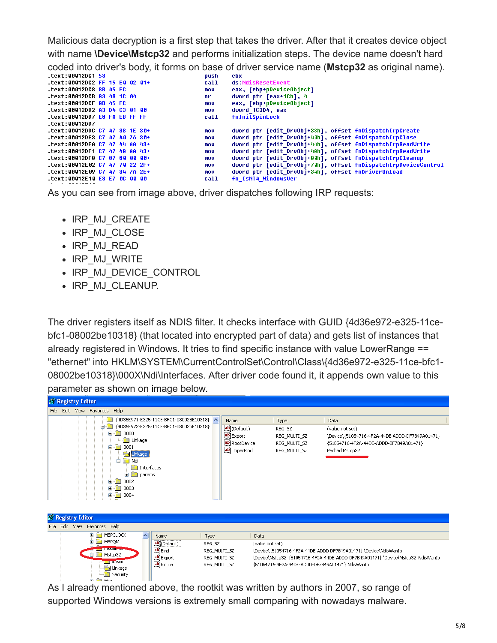Malicious data decryption is a first step that takes the driver. After that it creates device object with name **\Device\Mstcp32** and performs initialization steps. The device name doesn't hard

coded into driver's body, it forms on base of driver service name (**Mstcp32** as original name).

| .text:00012DC1 53              |  |  | push       | ebx                                                            |
|--------------------------------|--|--|------------|----------------------------------------------------------------|
| text:00012DC2 FF 15 E0 02 01+  |  |  | call       | ds:NdisResetEvent                                              |
| text:00012DC8 8B 45 FC.        |  |  | mov        | eax, [ebp+pDeviceObject]                                       |
| text:00012DCB 83 48 1C 04.     |  |  | or.        | dword ptr [eax+1Ch], 4                                         |
| text:00012DCF 8B 45 FC         |  |  | mov        | eax, [ebp+pDeviceObject]                                       |
| text:00012DD2 A3 D4 C3 01 00.  |  |  | <b>MOV</b> | dword 1C3D4, eax                                               |
| .text:00012DD7 E8 FA EB FF FF  |  |  | call       | <b>fnInitSpinLock</b>                                          |
| .text:00012DD7                 |  |  |            |                                                                |
| text:00012DDC C7 47 38 1E 30+  |  |  | mov        | dword ptr [edit DruObj+38h], offset fnDispatchIrpCreate        |
| text:00012DE3 C7 47 40 76 30+  |  |  | mov        | dword ptr [edit DrvObj+40h], offset fnDispatchIrpClose         |
| text:00012DEA C7 47 44 AA 43+. |  |  | mov        | dword ptr [edit DruObj+44h], offset fnDispatchIrpReadWrite     |
| text:00012DF1 C7 47 48 AA 43+  |  |  | mov        | dword ptr [edit DruObj+48h], offset fnDispatchIrpReadWrite     |
| text:00012DF8 C7 87 80 00 00+. |  |  | mov        | dword ptr [edit_DrvObj+80h], offset fnDispatchIrpCleanup       |
| .text:00012E02 C7 47 70 22 2F+ |  |  | mov        | dword ptr [edit DrvObj+70h], offset fnDispatchIrpDeviceControl |
| text:00012E09 C7 47 34 7A 2E+. |  |  | mov        | dword ptr [edit DrvObj+34h], offset fnDriverUnload             |
| text:00012E10 E8 E7 0C 00 00.  |  |  | call       | fn IsNT4 WindowsVer                                            |
|                                |  |  |            |                                                                |

As you can see from image above, driver dispatches following IRP requests:

- IRP\_MJ\_CREATE
- IRP MJ CLOSE
- IRP\_MJ\_READ
- IRP\_MJ\_WRITE
- IRP MJ DEVICE CONTROL
- IRP MJ CLEANUP.

The driver registers itself as NDIS filter. It checks interface with GUID {4d36e972-e325-11cebfc1-08002be10318} (that located into encrypted part of data) and gets list of instances that already registered in Windows. It tries to find specific instance with value LowerRange == "ethernet" into HKLM\SYSTEM\CurrentControlSet\Control\Class\{4d36e972-e325-11ce-bfc1- 08002be10318}\000X\Ndi\Interfaces. After driver code found it, it appends own value to this parameter as shown on image below.



|  | File Edit |                                    | View Favorites Help              |              |                                                                                  |  |
|--|-----------|------------------------------------|----------------------------------|--------------|----------------------------------------------------------------------------------|--|
|  |           | <b>EI-FEINSPCLOCK</b>              | Name                             | <b>Type</b>  | Data                                                                             |  |
|  |           | I MSPOM                            | befault)                         | REG SZ       | (value not set)                                                                  |  |
|  |           | <b>BUILDING LITTLE COMMUNISTIC</b> | ab]Bind                          | REG_MULTI_SZ | \Device\{51054716-4F2A-44DE-ADDD-DF7B49A01471} \Device\NdisWanIp                 |  |
|  |           | Mstcp32                            | <b>쓰</b> ] Export                | REG MULTI SZ | \Device\Mstcp32_{51054716-4F2A-44DE-ADDD-DF7B49A01471} \Device\Mstcp32_NdisWanIp |  |
|  |           | i Enum<br>Linkage                  | ab]Route                         | REG MULTI SZ | {51054716-4F2A-44DE-ADDD-DF7B49A01471} NdisWanIp                                 |  |
|  |           |                                    | Security                         |              |                                                                                  |  |
|  |           |                                    | <b>But and the Common Street</b> |              |                                                                                  |  |

As I already mentioned above, the rootkit was written by authors in 2007, so range of supported Windows versions is extremely small comparing with nowadays malware.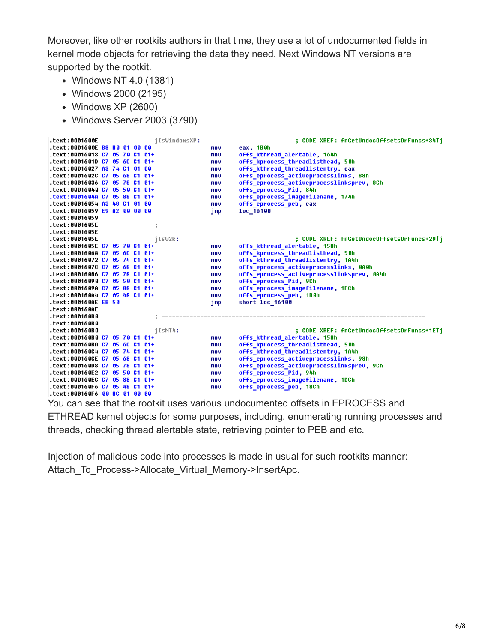Moreover, like other rootkits authors in that time, they use a lot of undocumented fields in kernel mode objects for retrieving the data they need. Next Windows NT versions are supported by the rootkit.

- Windows NT 4.0 (1381)
- Windows 2000 (2195)
- Windows XP (2600)
- Windows Server 2003 (3790)



You can see that the rootkit uses various undocumented offsets in EPROCESS and ETHREAD kernel objects for some purposes, including, enumerating running processes and

threads, checking thread alertable state, retrieving pointer to PEB and etc.

Injection of malicious code into processes is made in usual for such rootkits manner: Attach\_To\_Process->Allocate\_Virtual\_Memory->InsertApc.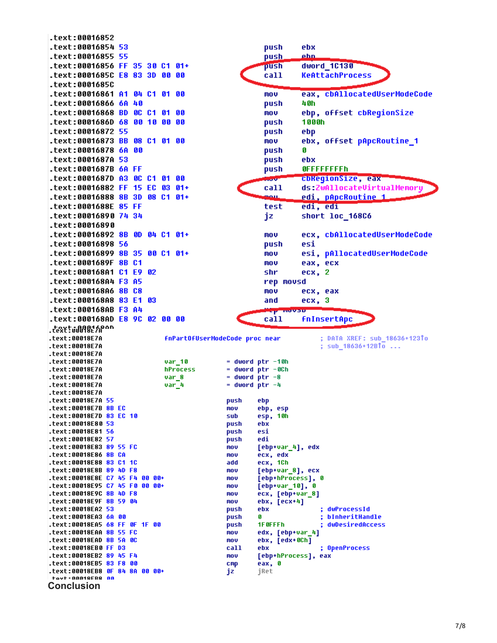text:00016852 text:00016854 53. push ebx text:00016855 55 push ehn .text:00016856 FF 35 30 C1 01+ push dword 1C130 text:0001685C E8 83 3D 00 00 call **KeAttachProcess** .text:0001685C eax, cbAllocatedUserModeCode .text:00016861 A1 04 C1 01 00 mov .text:00016866 6A 40 push 48h text:00016868 BD 0C C1 01 00 ebp, offset cbReqionSize mou text:0001686D 68 00 10 00 00 1000h push text:00016872 55 push ebp text:00016873 BB 08 C1 01 00 mov ebx, offset pApcRoutine\_1 text:00016878 6A 00 push G text:0001687A 53 push ebx .text:0001687B 6A FF push **OFFFFFFFFFh** .text:0001687D A3 0C C1 01 00 cbkegionSize, eax .text:00016882 FF 15 EC 03 01+ call ds:ZwAllocateVirtualMemory .text:00016888 8B 3D 08 C1 01+ <u>edi, pApcRoutine 1</u> mai i .text:0001688E 85 FF test edi, edi text:00016890 74 34. short loc 16806 jz text:00016890 text:00016892 8B 0D 04 C1 01+ mov ecx, cbAllocatedUserModeCode text:00016898 56 push esi .text:00016899 8B 35 00 C1 01+ esi, pAllocatedUserModeCode mou .text:0001689F 8B C1 mou eax, ecx .text:000168A1 C1 E9 02 shr ecx, 2 .text:000168A4 F3 A5 rep movsd text:000168A6 8B C8. mov ecx, eax .text:000168A8 83 E1 ecx, 3 83 and .text:000168AB F3 A4 **fnInsertApc** text:000168AD E8 9C 02 00 00 call .text:u00025000 .text:00018E7A **FnPartOfUserModeCode proc near** ; DATA XREF: sub 18636+123To .text:00018E7A ; sub  $18636+12810...$ .text:00018E7A .text:00018E7A  $var_10$  $=$  dword ptr  $-10h$ .text:00018E7A hProcess  $=$  dword  $ptr -@Ch$ .text:00018E7A  $var<sub>8</sub>$ dword  $ptr -8$  $=$  dword ptr  $-4$ .text:00018E7A  $var_4$ .text:00018E7A .text:00018E7A 55 push ebp .text:00018E7B 8B EC ebp, esp mou .text:00018E7D 83 EC 10 sub esp, 10h .text:00018E80 53 push ebx .text:00018E81 56 push esi .text:00018E82 57 push edi .text:00018E83 89 55 FC mou [ebp+var\_4], edx .text:00018E86 8B CA mou ecx, edx .text:00018E88 83 C1 1C add ecx, 1Ch .text:00018E8B 89 4D F8 [ebp+var\_8], ecx mnu .text:00018E8E C7 45 F4 00 00+ mov [ebp+hProcess], Ø .text:00018E95 C7 45 F0 00 00+ mov  $[$ ebp+var\_10], 0 .text:00018E9C 8B 4D F8 mou ecx, [ebp+var\_8] .text:00018E9F 8B 59 04  $ebx, [ecx+4]$ mou .text:00018EA2 53 dwProcessId push ebx .text:00018EA3 6A 00 bInheritHandle **push** G. ÷ .text:00018EA5 68 FF OF 1F 00 push 1F0FFFh dwDesiredAccess .text:00018EAA 8B 55 FC edx, [ebp+var\_4] mnu .text:00018EAD 8B 5A 0C mov ebx, [edx+0Ch] .text:00018EB0 FF D3 call ebx ; OpenProcess .text:00018EB2 89 45 F4 mou [ebp+hProcess], eax .text:00018EB5 83 F8 00  $cmp$ eax, 0 .text:00018EB8 0F 84 8A 00 00+ jz jRet tovt·AAA1RFRR AA **Conclusion**